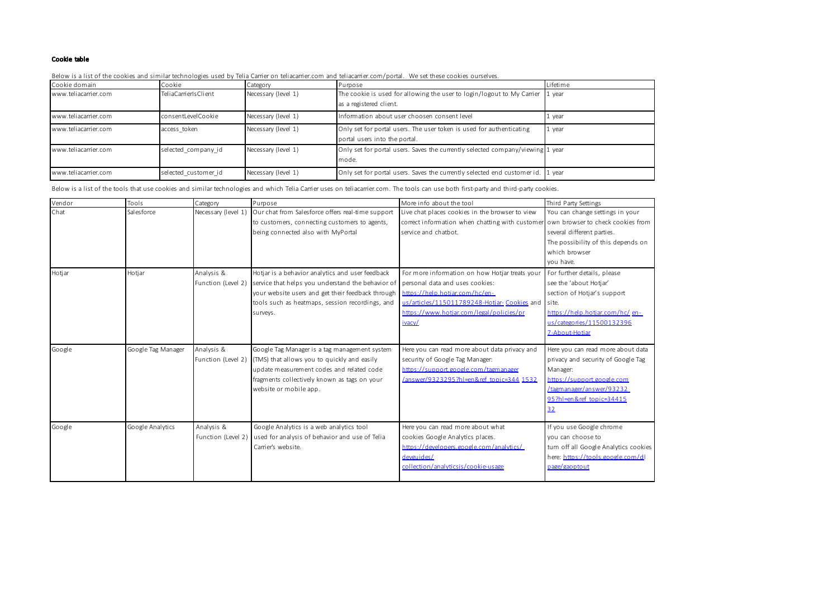## Cookie table

Below is a list of the cookies and similar technologies used by Telia Carrier on teliacarrier.com and teliacarrier.com/portal. We set these cookies ourselves.

| Cookie domain        | Cookie               | Category            | Purpose                                                                                               | Lifetime |
|----------------------|----------------------|---------------------|-------------------------------------------------------------------------------------------------------|----------|
| www.teliacarrier.com | TeliaCarrierIsClient | Necessary (level 1) | The cookie is used for allowing the user to login/logout to My Carrier<br>as a registered client.     | 1 year   |
| www.teliacarrier.com | consentLevelCookie   | Necessary (level 1) | Information about user choosen consent level                                                          | 1 year   |
| www.teliacarrier.com | access token         | Necessary (level 1) | Only set for portal users. The user token is used for authenticating<br>portal users into the portal. | 1 year   |
| www.teliacarrier.com | selected company id  | Necessary (level 1) | Only set for portal users. Saves the currently selected company/viewing 1 year<br>mode.               |          |
| www.teliacarrier.com | selected customer id | Necessary (level 1) | Only set for portal users. Saves the currently selected end customer id. 1 year                       |          |

Below is a list of the tools that use cookies and similar technologies and which Telia Carrier uses on teliacarrier.com. The tools can use both first-party and third-party cookies.

| Vendor | Tools              | Category            | Purpose                                           | More info about the tool                                                          | Third Party Settings                  |
|--------|--------------------|---------------------|---------------------------------------------------|-----------------------------------------------------------------------------------|---------------------------------------|
| Chat   | Salesforce         | Necessary (level 1) | Our chat from Salesforce offers real-time support | Live chat places cookies in the browser to view                                   | You can change settings in your       |
|        |                    |                     | to customers, connecting customers to agents,     | correct information when chatting with customer own browser to check cookies from |                                       |
|        |                    |                     | being connected also with MyPortal                | service and chatbot.                                                              | several different parties.            |
|        |                    |                     |                                                   |                                                                                   | The possibility of this depends on    |
|        |                    |                     |                                                   |                                                                                   | which browser                         |
|        |                    |                     |                                                   |                                                                                   | you have.                             |
| Hotjar | Hotjar             | Analysis &          | Hotjar is a behavior analytics and user feedback  | For more information on how Hotjar treats your                                    | For further details, please           |
|        |                    | Function (Level 2)  | service that helps you understand the behavior of | personal data and uses cookies:                                                   | see the 'about Hotjar'                |
|        |                    |                     | your website users and get their feedback through | https://help.hotiar.com/hc/en-                                                    | section of Hotjar's support           |
|        |                    |                     | tools such as heatmaps, session recordings, and   | us/articles/115011789248-Hotiar-Cookies and site.                                 |                                       |
|        |                    |                     | surveys.                                          | https://www.hotiar.com/legal/policies/pr                                          | https://help.hotiar.com/hc/en-        |
|        |                    |                     |                                                   | ivacy/                                                                            | us/categories/11500132396             |
|        |                    |                     |                                                   |                                                                                   | 7-About-Hotiar                        |
| Google | Google Tag Manager | Analysis &          | Google Tag Manager is a tag management system     | Here you can read more about data privacy and                                     | Here you can read more about data     |
|        |                    | Function (Level 2)  | (TMS) that allows you to quickly and easily       | security of Google Tag Manager:                                                   | privacy and security of Google Tag    |
|        |                    |                     | update measurement codes and related code         | https://support.google.com/tagmanager                                             | Manager:                              |
|        |                    |                     | fragments collectively known as tags on your      | /answer/9323295?hl=en&ref topic=344 1532                                          | https://support.google.com            |
|        |                    |                     | website or mobile app.                            |                                                                                   | /tagmanager/answer/93232              |
|        |                    |                     |                                                   |                                                                                   | 95?hl=en&ref topic=34415              |
|        |                    |                     |                                                   |                                                                                   | 32                                    |
| Google | Google Analytics   | Analysis &          | Google Analytics is a web analytics tool          | Here you can read more about what                                                 | If you use Google chrome              |
|        |                    | Function (Level 2)  | used for analysis of behavior and use of Telia    | cookies Google Analytics places.                                                  | vou can choose to                     |
|        |                    |                     | Carrier's website.                                | https://developers.google.com/analytics/                                          | turn off all Google Analytics cookies |
|        |                    |                     |                                                   | devguides/                                                                        | here: https://tools.google.com/dl     |
|        |                    |                     |                                                   | collection/analyticsis/cookie-usage                                               | page/gaoptout                         |
|        |                    |                     |                                                   |                                                                                   |                                       |